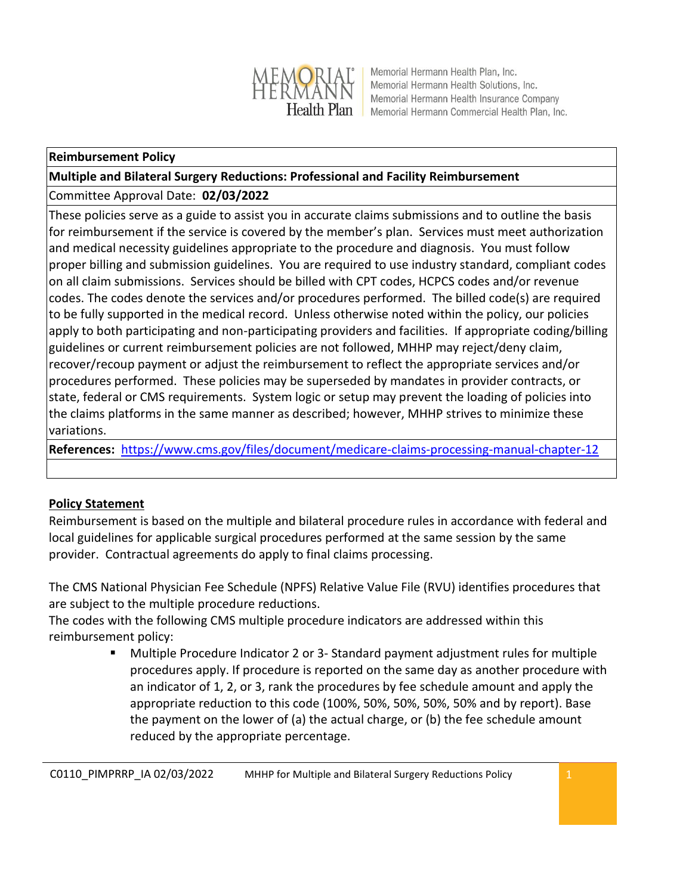

Memorial Hermann Health Plan, Inc. Memorial Hermann Health Solutions, Inc. Memorial Hermann Health Insurance Company Memorial Hermann Commercial Health Plan, Inc.

#### **Reimbursement Policy**

# **Multiple and Bilateral Surgery Reductions: Professional and Facility Reimbursement**

Committee Approval Date: **02/03/2022**

These policies serve as a guide to assist you in accurate claims submissions and to outline the basis for reimbursement if the service is covered by the member's plan. Services must meet authorization and medical necessity guidelines appropriate to the procedure and diagnosis. You must follow proper billing and submission guidelines. You are required to use industry standard, compliant codes on all claim submissions. Services should be billed with CPT codes, HCPCS codes and/or revenue codes. The codes denote the services and/or procedures performed. The billed code(s) are required to be fully supported in the medical record. Unless otherwise noted within the policy, our policies apply to both participating and non-participating providers and facilities. If appropriate coding/billing guidelines or current reimbursement policies are not followed, MHHP may reject/deny claim, recover/recoup payment or adjust the reimbursement to reflect the appropriate services and/or procedures performed. These policies may be superseded by mandates in provider contracts, or state, federal or CMS requirements. System logic or setup may prevent the loading of policies into the claims platforms in the same manner as described; however, MHHP strives to minimize these variations.

**References:** <https://www.cms.gov/files/document/medicare-claims-processing-manual-chapter-12>

# **Policy Statement**

Reimbursement is based on the multiple and bilateral procedure rules in accordance with federal and local guidelines for applicable surgical procedures performed at the same session by the same provider. Contractual agreements do apply to final claims processing.

The CMS National Physician Fee Schedule (NPFS) Relative Value File (RVU) identifies procedures that are subject to the multiple procedure reductions.

The codes with the following CMS multiple procedure indicators are addressed within this reimbursement policy:

> Multiple Procedure Indicator 2 or 3- Standard payment adjustment rules for multiple procedures apply. If procedure is reported on the same day as another procedure with an indicator of 1, 2, or 3, rank the procedures by fee schedule amount and apply the appropriate reduction to this code (100%, 50%, 50%, 50%, 50% and by report). Base the payment on the lower of (a) the actual charge, or (b) the fee schedule amount reduced by the appropriate percentage.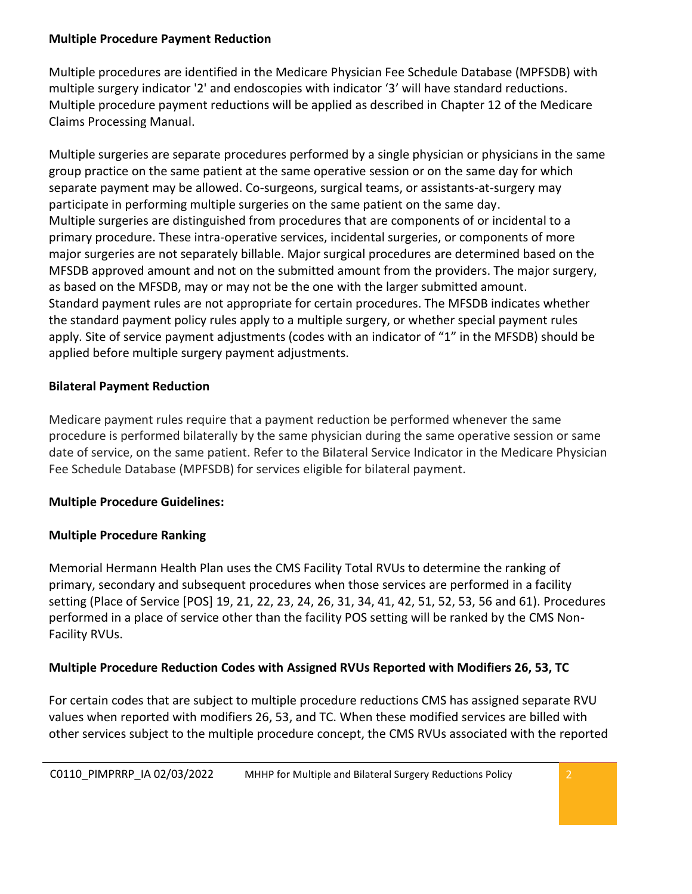#### **Multiple Procedure Payment Reduction**

Multiple procedures are identified in the Medicare Physician Fee Schedule Database (MPFSDB) with multiple surgery indicator '2' and endoscopies with indicator '3' will have standard reductions. Multiple procedure payment reductions will be applied as described in [Chapter 12 of the Medicare](https://www.cms.gov/Regulations-and-Guidance/Guidance/Manuals/downloads/clm104c12.pdf)  [Claims Processing Manual.](https://www.cms.gov/Regulations-and-Guidance/Guidance/Manuals/downloads/clm104c12.pdf)

Multiple surgeries are separate procedures performed by a single physician or physicians in the same group practice on the same patient at the same operative session or on the same day for which separate payment may be allowed. Co-surgeons, surgical teams, or assistants-at-surgery may participate in performing multiple surgeries on the same patient on the same day. Multiple surgeries are distinguished from procedures that are components of or incidental to a primary procedure. These intra-operative services, incidental surgeries, or components of more major surgeries are not separately billable. Major surgical procedures are determined based on the MFSDB approved amount and not on the submitted amount from the providers. The major surgery, as based on the MFSDB, may or may not be the one with the larger submitted amount. Standard payment rules are not appropriate for certain procedures. The MFSDB indicates whether the standard payment policy rules apply to a multiple surgery, or whether special payment rules apply. Site of service payment adjustments (codes with an indicator of "1" in the MFSDB) should be applied before multiple surgery payment adjustments.

# **Bilateral Payment Reduction**

Medicare payment rules require that a payment reduction be performed whenever the same procedure is performed bilaterally by the same physician during the same operative session or same date of service, on the same patient. Refer to the Bilateral Service Indicator in the Medicare Physician Fee Schedule Database (MPFSDB) for services eligible for bilateral payment.

# **Multiple Procedure Guidelines:**

# **Multiple Procedure Ranking**

Memorial Hermann Health Plan uses the CMS Facility Total RVUs to determine the ranking of primary, secondary and subsequent procedures when those services are performed in a facility setting (Place of Service [POS] 19, 21, 22, 23, 24, 26, 31, 34, 41, 42, 51, 52, 53, 56 and 61). Procedures performed in a place of service other than the facility POS setting will be ranked by the CMS Non-Facility RVUs.

# **Multiple Procedure Reduction Codes with Assigned RVUs Reported with Modifiers 26, 53, TC**

For certain codes that are subject to multiple procedure reductions CMS has assigned separate RVU values when reported with modifiers 26, 53, and TC. When these modified services are billed with other services subject to the multiple procedure concept, the CMS RVUs associated with the reported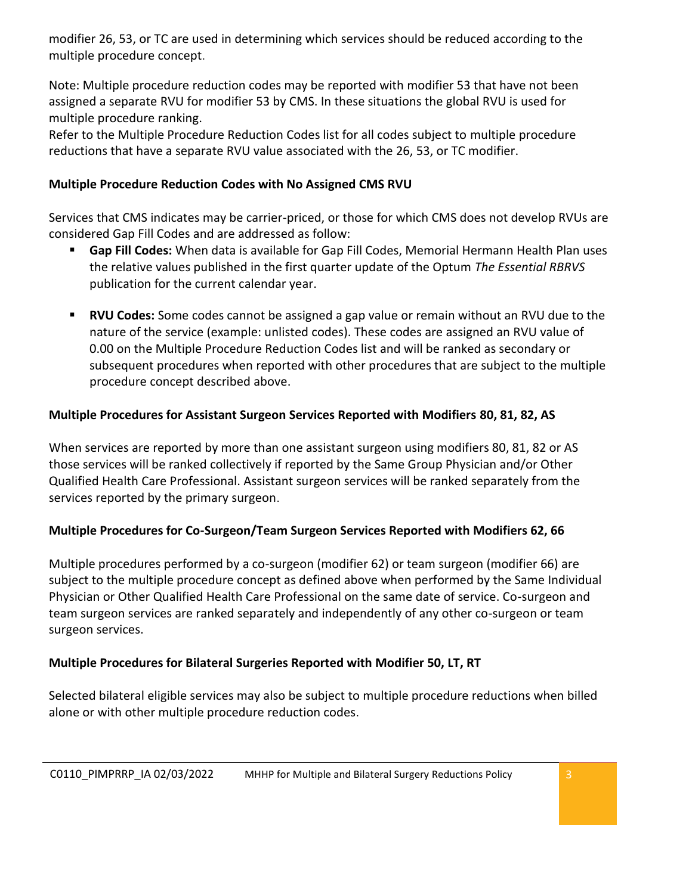modifier 26, 53, or TC are used in determining which services should be reduced according to the multiple procedure concept.

Note: Multiple procedure reduction codes may be reported with modifier 53 that have not been assigned a separate RVU for modifier 53 by CMS. In these situations the global RVU is used for multiple procedure ranking.

Refer to the Multiple Procedure Reduction Codes list for all codes subject to multiple procedure reductions that have a separate RVU value associated with the 26, 53, or TC modifier.

### **Multiple Procedure Reduction Codes with No Assigned CMS RVU**

Services that CMS indicates may be carrier-priced, or those for which CMS does not develop RVUs are considered Gap Fill Codes and are addressed as follow:

- **Gap Fill Codes:** When data is available for Gap Fill Codes, Memorial Hermann Health Plan uses the relative values published in the first quarter update of the Optum *The Essential RBRVS*  publication for the current calendar year.
- **RVU Codes:** Some codes cannot be assigned a gap value or remain without an RVU due to the nature of the service (example: unlisted codes). These codes are assigned an RVU value of 0.00 on the Multiple Procedure Reduction Codes list and will be ranked as secondary or subsequent procedures when reported with other procedures that are subject to the multiple procedure concept described above.

### **Multiple Procedures for Assistant Surgeon Services Reported with Modifiers 80, 81, 82, AS**

When services are reported by more than one assistant surgeon using modifiers 80, 81, 82 or AS those services will be ranked collectively if reported by the Same Group Physician and/or Other Qualified Health Care Professional. Assistant surgeon services will be ranked separately from the services reported by the primary surgeon.

#### **Multiple Procedures for Co-Surgeon/Team Surgeon Services Reported with Modifiers 62, 66**

Multiple procedures performed by a co-surgeon (modifier 62) or team surgeon (modifier 66) are subject to the multiple procedure concept as defined above when performed by the Same Individual Physician or Other Qualified Health Care Professional on the same date of service. Co-surgeon and team surgeon services are ranked separately and independently of any other co-surgeon or team surgeon services.

#### **Multiple Procedures for Bilateral Surgeries Reported with Modifier 50, LT, RT**

Selected bilateral eligible services may also be subject to multiple procedure reductions when billed alone or with other multiple procedure reduction codes.